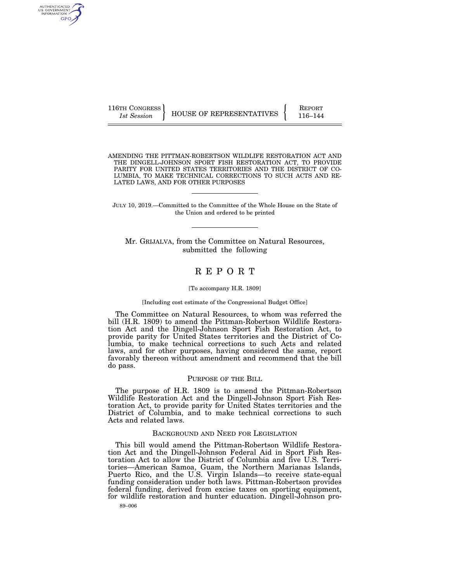116TH CONGRESS HOUSE OF REPRESENTATIVES FEPORT 116–144

AMENDING THE PITTMAN-ROBERTSON WILDLIFE RESTORATION ACT AND THE DINGELL-JOHNSON SPORT FISH RESTORATION ACT, TO PROVIDE PARITY FOR UNITED STATES TERRITORIES AND THE DISTRICT OF CO-LUMBIA, TO MAKE TECHNICAL CORRECTIONS TO SUCH ACTS AND RE-LATED LAWS, AND FOR OTHER PURPOSES

JULY 10, 2019.—Committed to the Committee of the Whole House on the State of the Union and ordered to be printed

Mr. GRIJALVA, from the Committee on Natural Resources, submitted the following

# R E P O R T

#### [To accompany H.R. 1809]

#### [Including cost estimate of the Congressional Budget Office]

The Committee on Natural Resources, to whom was referred the bill (H.R. 1809) to amend the Pittman-Robertson Wildlife Restoration Act and the Dingell-Johnson Sport Fish Restoration Act, to provide parity for United States territories and the District of Columbia, to make technical corrections to such Acts and related laws, and for other purposes, having considered the same, report favorably thereon without amendment and recommend that the bill do pass.

#### PURPOSE OF THE BILL

The purpose of H.R. 1809 is to amend the Pittman-Robertson Wildlife Restoration Act and the Dingell-Johnson Sport Fish Restoration Act, to provide parity for United States territories and the District of Columbia, and to make technical corrections to such Acts and related laws.

#### BACKGROUND AND NEED FOR LEGISLATION

This bill would amend the Pittman-Robertson Wildlife Restoration Act and the Dingell-Johnson Federal Aid in Sport Fish Restoration Act to allow the District of Columbia and five U.S. Territories—American Samoa, Guam, the Northern Marianas Islands, Puerto Rico, and the U.S. Virgin Islands—to receive state-equal funding consideration under both laws. Pittman-Robertson provides federal funding, derived from excise taxes on sporting equipment, for wildlife restoration and hunter education. Dingell-Johnson pro-

89–006

AUTHENTICATED U.S. GOVERNMENT GPO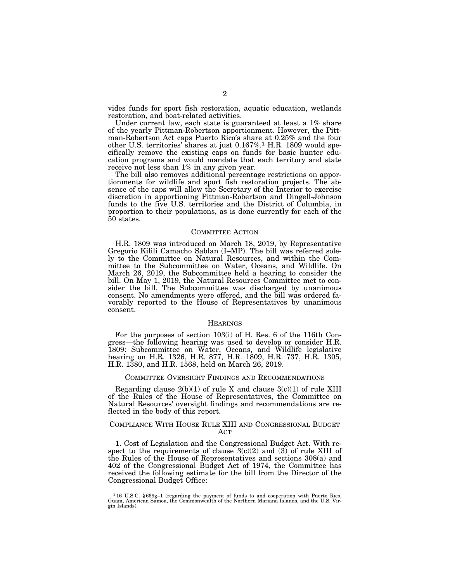vides funds for sport fish restoration, aquatic education, wetlands restoration, and boat-related activities.

Under current law, each state is guaranteed at least a 1% share of the yearly Pittman-Robertson apportionment. However, the Pittman-Robertson Act caps Puerto Rico's share at 0.25% and the four other U.S. territories' shares at just 0.167%.1 H.R. 1809 would specifically remove the existing caps on funds for basic hunter education programs and would mandate that each territory and state receive not less than 1% in any given year.

The bill also removes additional percentage restrictions on apportionments for wildlife and sport fish restoration projects. The absence of the caps will allow the Secretary of the Interior to exercise discretion in apportioning Pittman-Robertson and Dingell-Johnson funds to the five U.S. territories and the District of Columbia, in proportion to their populations, as is done currently for each of the 50 states.

## COMMITTEE ACTION

H.R. 1809 was introduced on March 18, 2019, by Representative Gregorio Kilili Camacho Sablan (I–MP). The bill was referred solely to the Committee on Natural Resources, and within the Committee to the Subcommittee on Water, Oceans, and Wildlife. On March 26, 2019, the Subcommittee held a hearing to consider the bill. On May 1, 2019, the Natural Resources Committee met to consider the bill. The Subcommittee was discharged by unanimous consent. No amendments were offered, and the bill was ordered favorably reported to the House of Representatives by unanimous consent.

#### HEARINGS

For the purposes of section 103(i) of H. Res. 6 of the 116th Congress—the following hearing was used to develop or consider H.R. 1809: Subcommittee on Water, Oceans, and Wildlife legislative hearing on H.R. 1326, H.R. 877, H.R. 1809, H.R. 737, H.R. 1305, H.R. 1380, and H.R. 1568, held on March 26, 2019.

## COMMITTEE OVERSIGHT FINDINGS AND RECOMMENDATIONS

Regarding clause  $2(b)(1)$  of rule X and clause  $3(c)(1)$  of rule XIII of the Rules of the House of Representatives, the Committee on Natural Resources' oversight findings and recommendations are reflected in the body of this report.

## COMPLIANCE WITH HOUSE RULE XIII AND CONGRESSIONAL BUDGET ACT

1. Cost of Legislation and the Congressional Budget Act. With respect to the requirements of clause  $3(c)(2)$  and  $(3)$  of rule XIII of the Rules of the House of Representatives and sections 308(a) and 402 of the Congressional Budget Act of 1974, the Committee has received the following estimate for the bill from the Director of the Congressional Budget Office:

<sup>1</sup> 16 U.S.C. § 669g–1 (regarding the payment of funds to and cooperation with Puerto Rico, Guam, American Samoa, the Commonwealth of the Northern Mariana Islands, and the U.S. Vir-gin Islands).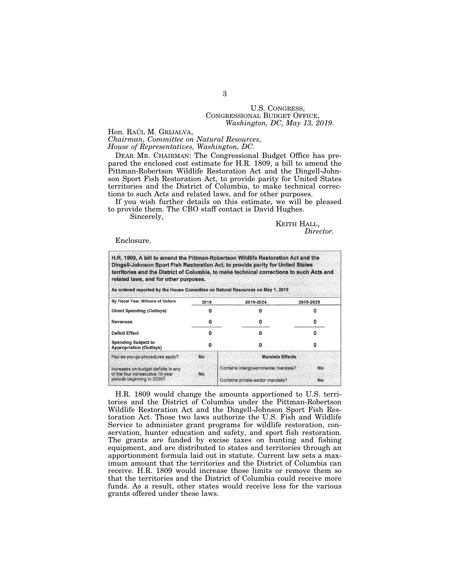# U.S. CONGRESS, CONGRESSIONAL BUDGET OFFICE, *Washington, DC, May 13, 2019.*

Hon. RAÚL M. GRIJALVA. *Chairman, Committee on Natural Resources, House of Representatives, Washington, DC.* 

DEAR MR. CHAIRMAN: The Congressional Budget Office has prepared the enclosed cost estimate for H.R. 1809, a bill to amend the Pittman-Robertson Wildlife Restoration Act and the Dingell-Johnson Sport Fish Restoration Act, to provide parity for United States territories and the District of Columbia, to make technical corrections to such Acts and related laws, and for other purposes.

If you wish further details on this estimate, we will be pleased to provide them. The CBO staff contact is David Hughes.

Sincerely,

KEITH HALL, *Director.* 

Enclosure.

| H.R. 1809, A bill to amend the Pittman-Robertson Wildlife Restoration Act and the<br>Dingell-Johnson Sport Fish Restoration Act, to provide parity for United States<br>territories and the District of Columbia, to make technical corrections to such Acts and<br>related laws, and for other purposes.<br>As ordered reported by the House Committee on Natural Resources on May 1, 2019 |     |                                                                         |          |
|---------------------------------------------------------------------------------------------------------------------------------------------------------------------------------------------------------------------------------------------------------------------------------------------------------------------------------------------------------------------------------------------|-----|-------------------------------------------------------------------------|----------|
|                                                                                                                                                                                                                                                                                                                                                                                             |     |                                                                         |          |
| Direct Spending (Outlays)                                                                                                                                                                                                                                                                                                                                                                   |     |                                                                         |          |
| Revenues                                                                                                                                                                                                                                                                                                                                                                                    |     |                                                                         |          |
| Deficit Effect                                                                                                                                                                                                                                                                                                                                                                              | п   |                                                                         |          |
| <b>Spending Subject to</b><br><b>Appropriation (Outlays)</b>                                                                                                                                                                                                                                                                                                                                |     | n                                                                       | Ω        |
| Pay-as-you-go procedures apply?                                                                                                                                                                                                                                                                                                                                                             | No. | <b>Mandate Effects</b>                                                  |          |
| increases on-budget deficits in any<br>of the four consecutive 10-year.<br>periods beginning in 2030?                                                                                                                                                                                                                                                                                       | No  | Contains intergovernmental mandate?<br>Contains private-sector mandate? | No<br>No |

H.R. 1809 would change the amounts apportioned to U.S. territories and the District of Columbia under the Pittman-Robertson Wildlife Restoration Act and the Dingell-Johnson Sport Fish Restoration Act. Those two laws authorize the U.S. Fish and Wildlife Service to administer grant programs for wildlife restoration, conservation, hunter education and safety, and sport fish restoration. The grants are funded by excise taxes on hunting and fishing equipment, and are distributed to states and territories through an apportionment formula laid out in statute. Current law sets a maximum amount that the territories and the District of Columbia can receive. H.R. 1809 would increase those limits or remove them so that the territories and the District of Columbia could receive more funds. As a result, other states would receive less for the various grants offered under these laws.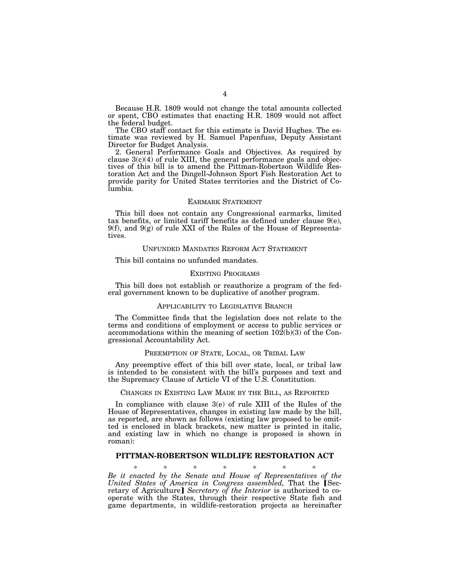Because H.R. 1809 would not change the total amounts collected or spent, CBO estimates that enacting H.R. 1809 would not affect the federal budget.

The CBO staff contact for this estimate is David Hughes. The estimate was reviewed by H. Samuel Papenfuss, Deputy Assistant Director for Budget Analysis.

2. General Performance Goals and Objectives. As required by clause 3(c)(4) of rule XIII, the general performance goals and objectives of this bill is to amend the Pittman-Robertson Wildlife Restoration Act and the Dingell-Johnson Sport Fish Restoration Act to provide parity for United States territories and the District of Columbia.

## EARMARK STATEMENT

This bill does not contain any Congressional earmarks, limited tax benefits, or limited tariff benefits as defined under clause  $9(e)$ ,  $9(f)$ , and  $9(g)$  of rule XXI of the Rules of the House of Representatives.

## UNFUNDED MANDATES REFORM ACT STATEMENT

This bill contains no unfunded mandates.

## EXISTING PROGRAMS

This bill does not establish or reauthorize a program of the federal government known to be duplicative of another program.

## APPLICABILITY TO LEGISLATIVE BRANCH

The Committee finds that the legislation does not relate to the terms and conditions of employment or access to public services or accommodations within the meaning of section  $10\overline{2(b)}(3)$  of the Congressional Accountability Act.

## PREEMPTION OF STATE, LOCAL, OR TRIBAL LAW

Any preemptive effect of this bill over state, local, or tribal law is intended to be consistent with the bill's purposes and text and the Supremacy Clause of Article VI of the U.S. Constitution.

## CHANGES IN EXISTING LAW MADE BY THE BILL, AS REPORTED

In compliance with clause 3(e) of rule XIII of the Rules of the House of Representatives, changes in existing law made by the bill, as reported, are shown as follows (existing law proposed to be omitted is enclosed in black brackets, new matter is printed in italic, and existing law in which no change is proposed is shown in roman):

## **PITTMAN-ROBERTSON WILDLIFE RESTORATION ACT**

\* \* \* \* \* \* \* *Be it enacted by the Senate and House of Representatives of the United States of America in Congress assembled, That the [Sec*retary of Agriculture] *Secretary of the Interior* is authorized to cooperate with the States, through their respective State fish and game departments, in wildlife-restoration projects as hereinafter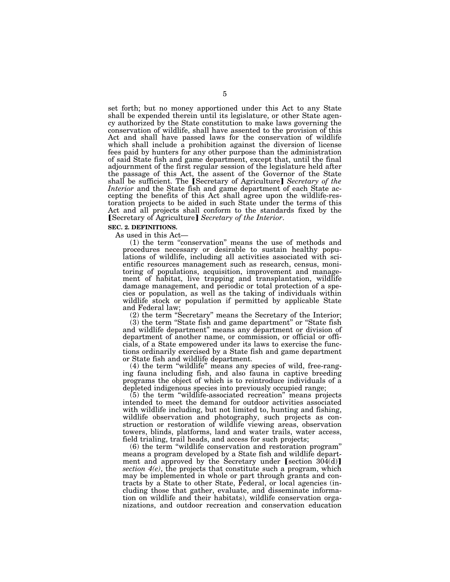set forth; but no money apportioned under this Act to any State shall be expended therein until its legislature, or other State agency authorized by the State constitution to make laws governing the conservation of wildlife, shall have assented to the provision of this Act and shall have passed laws for the conservation of wildlife which shall include a prohibition against the diversion of license fees paid by hunters for any other purpose than the administration of said State fish and game department, except that, until the final adjournment of the first regular session of the legislature held after the passage of this Act, the assent of the Governor of the State shall be sufficient. The *[Secretary of Agriculture] Secretary of the Interior* and the State fish and game department of each State accepting the benefits of this Act shall agree upon the wildlife-restoration projects to be aided in such State under the terms of this Act and all projects shall conform to the standards fixed by the **[Secretary of Agriculture]** Secretary of the Interior.

#### **SEC. 2. DEFINITIONS.**

As used in this Act—

(1) the term ''conservation'' means the use of methods and procedures necessary or desirable to sustain healthy populations of wildlife, including all activities associated with scientific resources management such as research, census, monitoring of populations, acquisition, improvement and management of habitat, live trapping and transplantation, wildlife damage management, and periodic or total protection of a species or population, as well as the taking of individuals within wildlife stock or population if permitted by applicable State and Federal law;

(2) the term ''Secretary'' means the Secretary of the Interior;

(3) the term "State fish and game department" or "State fish" and wildlife department'' means any department or division of department of another name, or commission, or official or officials, of a State empowered under its laws to exercise the functions ordinarily exercised by a State fish and game department or State fish and wildlife department.

(4) the term ''wildlife'' means any species of wild, free-ranging fauna including fish, and also fauna in captive breeding programs the object of which is to reintroduce individuals of a depleted indigenous species into previously occupied range;

 $(5)$  the term "wildlife-associated recreation" means projects intended to meet the demand for outdoor activities associated with wildlife including, but not limited to, hunting and fishing, wildlife observation and photography, such projects as construction or restoration of wildlife viewing areas, observation towers, blinds, platforms, land and water trails, water access, field trialing, trail heads, and access for such projects;

(6) the term ''wildlife conservation and restoration program'' means a program developed by a State fish and wildlife department and approved by the Secretary under [section  $304(d)$ ] *section 4(e)*, the projects that constitute such a program, which may be implemented in whole or part through grants and contracts by a State to other State, Federal, or local agencies (including those that gather, evaluate, and disseminate information on wildlife and their habitats), wildlife conservation organizations, and outdoor recreation and conservation education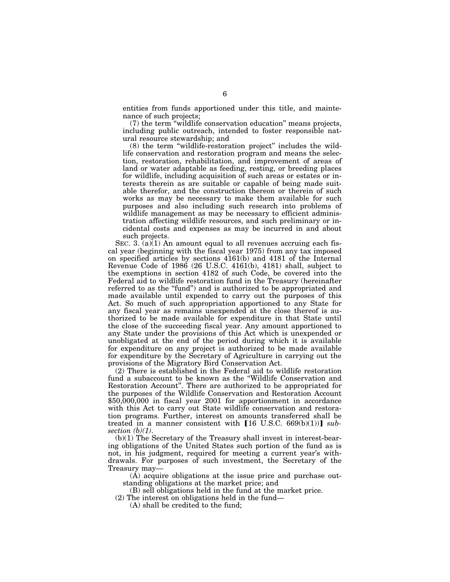entities from funds apportioned under this title, and maintenance of such projects;

(7) the term ''wildlife conservation education'' means projects, including public outreach, intended to foster responsible natural resource stewardship; and

(8) the term ''wildlife-restoration project'' includes the wildlife conservation and restoration program and means the selection, restoration, rehabilitation, and improvement of areas of land or water adaptable as feeding, resting, or breeding places for wildlife, including acquisition of such areas or estates or interests therein as are suitable or capable of being made suitable therefor, and the construction thereon or therein of such works as may be necessary to make them available for such purposes and also including such research into problems of wildlife management as may be necessary to efficient administration affecting wildlife resources, and such preliminary or incidental costs and expenses as may be incurred in and about such projects.

SEC. 3. (a)(1) An amount equal to all revenues accruing each fiscal year (beginning with the fiscal year 1975) from any tax imposed on specified articles by sections 4161(b) and 4181 of the Internal Revenue Code of 1986 (26 U.S.C. 4161(b), 4181) shall, subject to the exemptions in section 4182 of such Code, be covered into the Federal aid to wildlife restoration fund in the Treasury (hereinafter referred to as the "fund") and is authorized to be appropriated and made available until expended to carry out the purposes of this Act. So much of such appropriation apportioned to any State for any fiscal year as remains unexpended at the close thereof is authorized to be made available for expenditure in that State until the close of the succeeding fiscal year. Any amount apportioned to any State under the provisions of this Act which is unexpended or unobligated at the end of the period during which it is available for expenditure on any project is authorized to be made available for expenditure by the Secretary of Agriculture in carrying out the provisions of the Migratory Bird Conservation Act.

(2) There is established in the Federal aid to wildlife restoration fund a subaccount to be known as the ''Wildlife Conservation and Restoration Account''. There are authorized to be appropriated for the purposes of the Wildlife Conservation and Restoration Account \$50,000,000 in fiscal year 2001 for apportionment in accordance with this Act to carry out State wildlife conservation and restoration programs. Further, interest on amounts transferred shall be treated in a manner consistent with  $[16 \text{ U.S.C. } 669(b)(1))]$  sub*section (b)(1)*.

(b)(1) The Secretary of the Treasury shall invest in interest-bearing obligations of the United States such portion of the fund as is not, in his judgment, required for meeting a current year's withdrawals. For purposes of such investment, the Secretary of the Treasury may—

(A) acquire obligations at the issue price and purchase outstanding obligations at the market price; and

(B) sell obligations held in the fund at the market price.

(2) The interest on obligations held in the fund—

(A) shall be credited to the fund;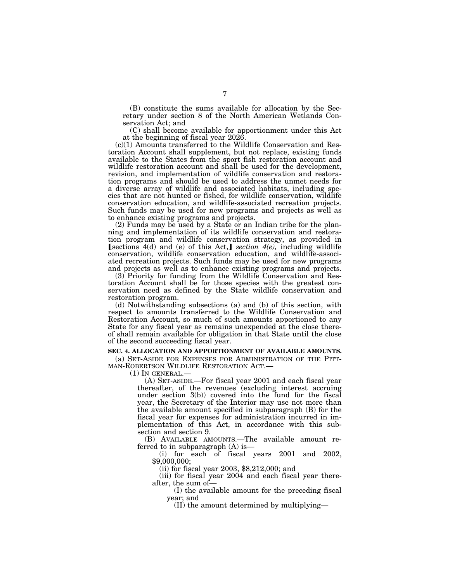(B) constitute the sums available for allocation by the Secretary under section 8 of the North American Wetlands Conservation Act; and

(C) shall become available for apportionment under this Act at the beginning of fiscal year 2026.

(c)(1) Amounts transferred to the Wildlife Conservation and Restoration Account shall supplement, but not replace, existing funds available to the States from the sport fish restoration account and wildlife restoration account and shall be used for the development, revision, and implementation of wildlife conservation and restoration programs and should be used to address the unmet needs for a diverse array of wildlife and associated habitats, including species that are not hunted or fished, for wildlife conservation, wildlife conservation education, and wildlife-associated recreation projects. Such funds may be used for new programs and projects as well as to enhance existing programs and projects.

(2) Funds may be used by a State or an Indian tribe for the planning and implementation of its wildlife conservation and restoration program and wildlife conservation strategy, as provided in [sections 4(d) and (e) of this Act,] *section 4(e)*, including wildlife conservation, wildlife conservation education, and wildlife-associated recreation projects. Such funds may be used for new programs and projects as well as to enhance existing programs and projects.

(3) Priority for funding from the Wildlife Conservation and Restoration Account shall be for those species with the greatest conservation need as defined by the State wildlife conservation and restoration program.

(d) Notwithstanding subsections (a) and (b) of this section, with respect to amounts transferred to the Wildlife Conservation and Restoration Account, so much of such amounts apportioned to any State for any fiscal year as remains unexpended at the close thereof shall remain available for obligation in that State until the close of the second succeeding fiscal year.

## **SEC. 4. ALLOCATION AND APPORTIONMENT OF AVAILABLE AMOUNTS.**

(a) SET-ASIDE FOR EXPENSES FOR ADMINISTRATION OF THE PITT-<br>MAN-ROBERTSON WILDLIFE RESTORATION ACT.—<br>(1) IN GENERAL.—<br>(A) SET-ASIDE.—For fiscal year 2001 and each fiscal year

thereafter, of the revenues (excluding interest accruing under section 3(b)) covered into the fund for the fiscal year, the Secretary of the Interior may use not more than the available amount specified in subparagraph (B) for the fiscal year for expenses for administration incurred in implementation of this Act, in accordance with this subsection and section 9.

(B) AVAILABLE AMOUNTS.—The available amount referred to in subparagraph (A) is—

(i) for each of fiscal years 2001 and 2002, \$9,000,000;

(ii) for fiscal year 2003, \$8,212,000; and

(iii) for fiscal year 2004 and each fiscal year thereafter, the sum of—

(I) the available amount for the preceding fiscal year; and

(II) the amount determined by multiplying—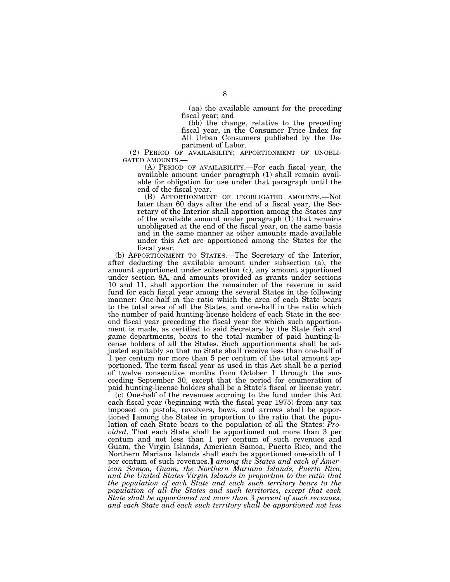(aa) the available amount for the preceding fiscal year; and

(bb) the change, relative to the preceding fiscal year, in the Consumer Price Index for All Urban Consumers published by the De-

partment of Labor.<br>(2) PERIOD OF AVAILABILITY; APPORTIONMENT OF UNOBLI-GATED AMOUNTS.—<br>(A) PERIOD OF AVAILABILITY.—For each fiscal year, the

available amount under paragraph (1) shall remain available for obligation for use under that paragraph until the end of the fiscal year.

(B) APPORTIONMENT OF UNOBLIGATED AMOUNTS.—Not later than 60 days after the end of a fiscal year, the Secretary of the Interior shall apportion among the States any of the available amount under paragraph (1) that remains unobligated at the end of the fiscal year, on the same basis and in the same manner as other amounts made available under this Act are apportioned among the States for the fiscal year.

(b) APPORTIONMENT TO STATES.—The Secretary of the Interior, after deducting the available amount under subsection (a), the amount apportioned under subsection (c), any amount apportioned under section 8A, and amounts provided as grants under sections 10 and 11, shall apportion the remainder of the revenue in said fund for each fiscal year among the several States in the following manner: One-half in the ratio which the area of each State bears to the total area of all the States, and one-half in the ratio which the number of paid hunting-license holders of each State in the second fiscal year preceding the fiscal year for which such apportionment is made, as certified to said Secretary by the State fish and game departments, bears to the total number of paid hunting-license holders of all the States. Such apportionments shall be adjusted equitably so that no State shall receive less than one-half of 1 per centum nor more than 5 per centum of the total amount apportioned. The term fiscal year as used in this Act shall be a period of twelve consecutive months from October 1 through the succeeding September 30, except that the period for enumeration of paid hunting-license holders shall be a State's fiscal or license year.

(c) One-half of the revenues accruing to the fund under this Act each fiscal year (beginning with the fiscal year 1975) from any tax imposed on pistols, revolvers, bows, and arrows shall be apportioned [among the States in proportion to the ratio that the population of each State bears to the population of all the States: *Provided*, That each State shall be apportioned not more than 3 per centum and not less than 1 per centum of such revenues and Guam, the Virgin Islands, American Samoa, Puerto Rico, and the Northern Mariana Islands shall each be apportioned one-sixth of 1 per centum of such revenues.] among the States and each of Amer*ican Samoa, Guam, the Northern Mariana Islands, Puerto Rico, and the United States Virgin Islands in proportion to the ratio that the population of each State and each such territory bears to the population of all the States and such territories, except that each State shall be apportioned not more than 3 percent of such revenues, and each State and each such territory shall be apportioned not less*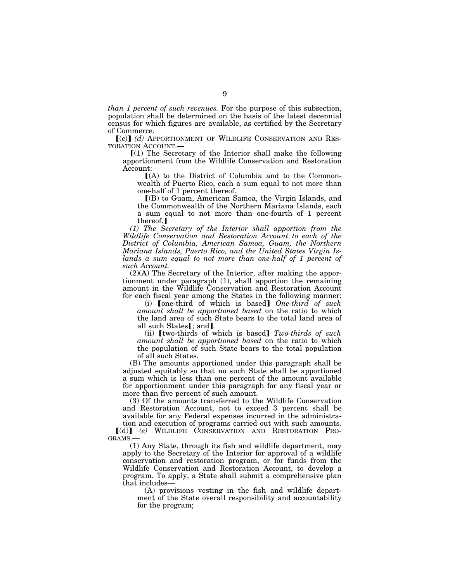*than 1 percent of such revenues.* For the purpose of this subsection, population shall be determined on the basis of the latest decennial census for which figures are available, as certified by the Secretary of Commerce.

[(c)] (d) APPORTIONMENT OF WILDLIFE CONSERVATION AND RES-TORATION ACCOUNT.—

 $[(1)$  The Secretary of the Interior shall make the following apportionment from the Wildlife Conservation and Restoration Account:

 $(A)$  to the District of Columbia and to the Commonwealth of Puerto Rico, each a sum equal to not more than one-half of 1 percent thereof.

ø(B) to Guam, American Samoa, the Virgin Islands, and the Commonwealth of the Northern Mariana Islands, each a sum equal to not more than one-fourth of 1 percent thereof.<sup>1</sup>

*(1) The Secretary of the Interior shall apportion from the Wildlife Conservation and Restoration Account to each of the District of Columbia, American Samoa, Guam, the Northern Mariana Islands, Puerto Rico, and the United States Virgin Is*lands a sum equal to not more than one-half of 1 percent of *such Account.* 

(2)(A) The Secretary of the Interior, after making the apportionment under paragraph (1), shall apportion the remaining amount in the Wildlife Conservation and Restoration Account for each fiscal year among the States in the following manner:

(i) [one-third of which is based] One-third of such *amount shall be apportioned based* on the ratio to which the land area of such State bears to the total land area of all such States[; and**]**.

(ii) [two-thirds of which is based] Two-thirds of such *amount shall be apportioned based* on the ratio to which the population of such State bears to the total population of all such States.

(B) The amounts apportioned under this paragraph shall be adjusted equitably so that no such State shall be apportioned a sum which is less than one percent of the amount available for apportionment under this paragraph for any fiscal year or more than five percent of such amount.

(3) Of the amounts transferred to the Wildlife Conservation and Restoration Account, not to exceed 3 percent shall be available for any Federal expenses incurred in the administra-

tion and execution of programs carried out with such amounts. ø(d)¿ *(e)* WILDLIFE CONSERVATION AND RESTORATION PRO-GRAMS.—

(1) Any State, through its fish and wildlife department, may apply to the Secretary of the Interior for approval of a wildlife conservation and restoration program, or for funds from the Wildlife Conservation and Restoration Account, to develop a program. To apply, a State shall submit a comprehensive plan that includes—

(A) provisions vesting in the fish and wildlife department of the State overall responsibility and accountability for the program;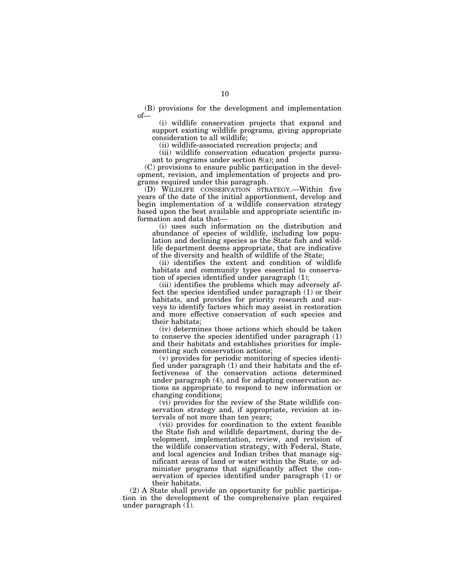(B) provisions for the development and implementation of—

(i) wildlife conservation projects that expand and support existing wildlife programs, giving appropriate consideration to all wildlife;

(ii) wildlife-associated recreation projects; and

(iii) wildlife conservation education projects pursuant to programs under section 8(a); and

(C) provisions to ensure public participation in the development, revision, and implementation of projects and programs required under this paragraph.

(D) WILDLIFE CONSERVATION STRATEGY.—Within five years of the date of the initial apportionment, develop and begin implementation of a wildlife conservation strategy based upon the best available and appropriate scientific information and data that—

(i) uses such information on the distribution and abundance of species of wildlife, including low population and declining species as the State fish and wildlife department deems appropriate, that are indicative of the diversity and health of wildlife of the State;

(ii) identifies the extent and condition of wildlife habitats and community types essential to conservation of species identified under paragraph (1);

(iii) identifies the problems which may adversely affect the species identified under paragraph (1) or their habitats, and provides for priority research and surveys to identify factors which may assist in restoration and more effective conservation of such species and their habitats;

(iv) determines those actions which should be taken to conserve the species identified under paragraph (1) and their habitats and establishes priorities for implementing such conservation actions;

(v) provides for periodic monitoring of species identified under paragraph (1) and their habitats and the effectiveness of the conservation actions determined under paragraph (4), and for adapting conservation actions as appropriate to respond to new information or changing conditions;

(vi) provides for the review of the State wildlife conservation strategy and, if appropriate, revision at intervals of not more than ten years;

(vii) provides for coordination to the extent feasible the State fish and wildlife department, during the development, implementation, review, and revision of the wildlife conservation strategy, with Federal, State, and local agencies and Indian tribes that manage significant areas of land or water within the State, or administer programs that significantly affect the conservation of species identified under paragraph (1) or their habitats.

(2) A State shall provide an opportunity for public participation in the development of the comprehensive plan required under paragraph (1).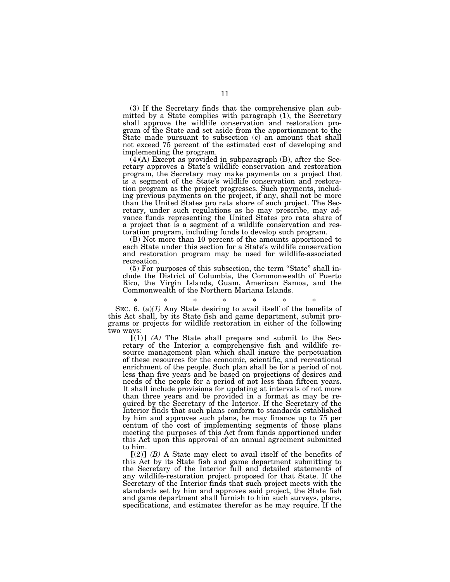(3) If the Secretary finds that the comprehensive plan submitted by a State complies with paragraph (1), the Secretary shall approve the wildlife conservation and restoration program of the State and set aside from the apportionment to the State made pursuant to subsection (c) an amount that shall not exceed 75 percent of the estimated cost of developing and implementing the program.

(4)(A) Except as provided in subparagraph (B), after the Secretary approves a State's wildlife conservation and restoration program, the Secretary may make payments on a project that is a segment of the State's wildlife conservation and restoration program as the project progresses. Such payments, including previous payments on the project, if any, shall not be more than the United States pro rata share of such project. The Secretary, under such regulations as he may prescribe, may advance funds representing the United States pro rata share of a project that is a segment of a wildlife conservation and restoration program, including funds to develop such program.

(B) Not more than 10 percent of the amounts apportioned to each State under this section for a State's wildlife conservation and restoration program may be used for wildlife-associated recreation.

(5) For purposes of this subsection, the term ''State'' shall include the District of Columbia, the Commonwealth of Puerto Rico, the Virgin Islands, Guam, American Samoa, and the Commonwealth of the Northern Mariana Islands.

\* \* \* \* \* \* \* SEC. 6. (a)*(1)* Any State desiring to avail itself of the benefits of this Act shall, by its State fish and game department, submit programs or projects for wildlife restoration in either of the following two ways:

 $[(1)]$   $(A)$  The State shall prepare and submit to the Secretary of the Interior a comprehensive fish and wildlife resource management plan which shall insure the perpetuation of these resources for the economic, scientific, and recreational enrichment of the people. Such plan shall be for a period of not less than five years and be based on projections of desires and needs of the people for a period of not less than fifteen years. It shall include provisions for updating at intervals of not more than three years and be provided in a format as may be required by the Secretary of the Interior. If the Secretary of the Interior finds that such plans conform to standards established by him and approves such plans, he may finance up to 75 per centum of the cost of implementing segments of those plans meeting the purposes of this Act from funds apportioned under this Act upon this approval of an annual agreement submitted to him.

 $[(2)]$   $(B)$  A State may elect to avail itself of the benefits of this Act by its State fish and game department submitting to the Secretary of the Interior full and detailed statements of any wildlife-restoration project proposed for that State. If the Secretary of the Interior finds that such project meets with the standards set by him and approves said project, the State fish and game department shall furnish to him such surveys, plans, specifications, and estimates therefor as he may require. If the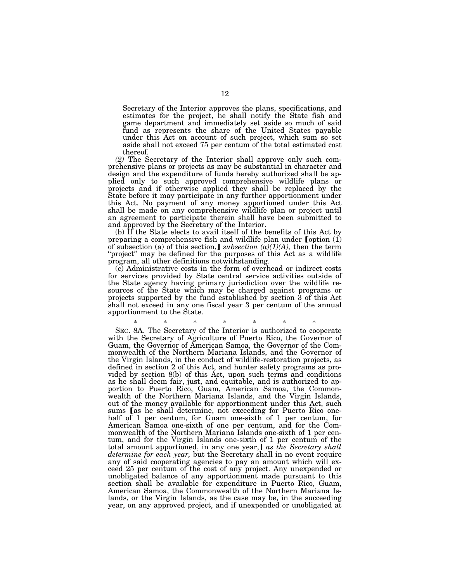Secretary of the Interior approves the plans, specifications, and estimates for the project, he shall notify the State fish and game department and immediately set aside so much of said fund as represents the share of the United States payable under this Act on account of such project, which sum so set aside shall not exceed 75 per centum of the total estimated cost thereof.

*(2)* The Secretary of the Interior shall approve only such comprehensive plans or projects as may be substantial in character and design and the expenditure of funds hereby authorized shall be applied only to such approved comprehensive wildlife plans or projects and if otherwise applied they shall be replaced by the State before it may participate in any further apportionment under this Act. No payment of any money apportioned under this Act shall be made on any comprehensive wildlife plan or project until an agreement to participate therein shall have been submitted to and approved by the Secretary of the Interior.

(b) If the State elects to avail itself of the benefits of this Act by preparing a comprehensive fish and wildlife plan under  $[$ option  $(1)$ of subsection (a) of this section, *subsection*  $(a)(1)(A)$ , then the term "project" may be defined for the purposes of this Act as a wildlife program, all other definitions notwithstanding.

(c) Administrative costs in the form of overhead or indirect costs for services provided by State central service activities outside of the State agency having primary jurisdiction over the wildlife resources of the State which may be charged against programs or projects supported by the fund established by section 3 of this Act shall not exceed in any one fiscal year 3 per centum of the annual apportionment to the State.

\* \* \* \* \* \* \* SEC. 8A. The Secretary of the Interior is authorized to cooperate with the Secretary of Agriculture of Puerto Rico, the Governor of Guam, the Governor of American Samoa, the Governor of the Commonwealth of the Northern Mariana Islands, and the Governor of the Virgin Islands, in the conduct of wildlife-restoration projects, as defined in section 2 of this Act, and hunter safety programs as provided by section 8(b) of this Act, upon such terms and conditions as he shall deem fair, just, and equitable, and is authorized to apportion to Puerto Rico, Guam, American Samoa, the Commonwealth of the Northern Mariana Islands, and the Virgin Islands, out of the money available for apportionment under this Act, such sums [as he shall determine, not exceeding for Puerto Rico onehalf of 1 per centum, for Guam one-sixth of 1 per centum, for American Samoa one-sixth of one per centum, and for the Commonwealth of the Northern Mariana Islands one-sixth of 1 per centum, and for the Virgin Islands one-sixth of 1 per centum of the total amount apportioned, in any one year,] as the Secretary shall *determine for each year,* but the Secretary shall in no event require any of said cooperating agencies to pay an amount which will exceed 25 per centum of the cost of any project. Any unexpended or unobligated balance of any apportionment made pursuant to this section shall be available for expenditure in Puerto Rico, Guam, American Samoa, the Commonwealth of the Northern Mariana Islands, or the Virgin Islands, as the case may be, in the succeeding year, on any approved project, and if unexpended or unobligated at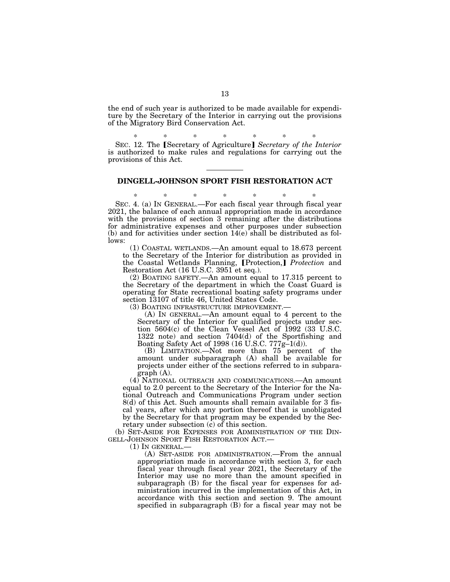the end of such year is authorized to be made available for expenditure by the Secretary of the Interior in carrying out the provisions of the Migratory Bird Conservation Act.

\* \* \* \* \* \* \* SEC. 12. The øSecretary of Agriculture¿ *Secretary of the Interior*  is authorized to make rules and regulations for carrying out the provisions of this Act.

## **DINGELL-JOHNSON SPORT FISH RESTORATION ACT**

\* \* \* \* \* \* \* SEC. 4. (a) IN GENERAL.—For each fiscal year through fiscal year 2021, the balance of each annual appropriation made in accordance with the provisions of section 3 remaining after the distributions for administrative expenses and other purposes under subsection (b) and for activities under section 14(e) shall be distributed as follows:

(1) COASTAL WETLANDS.—An amount equal to 18.673 percent to the Secretary of the Interior for distribution as provided in the Coastal Wetlands Planning, [Protection,] Protection and Restoration Act (16 U.S.C. 3951 et seq.).

(2) BOATING SAFETY.—An amount equal to 17.315 percent to the Secretary of the department in which the Coast Guard is operating for State recreational boating safety programs under section 13107 of title 46, United States Code.<br>(3) BOATING INFRASTRUCTURE IMPROVEMENT.

(A) IN GENERAL.—An amount equal to 4 percent to the Secretary of the Interior for qualified projects under section 5604(c) of the Clean Vessel Act of 1992 (33 U.S.C. 1322 note) and section 7404(d) of the Sportfishing and Boating Safety Act of 1998 (16 U.S.C. 777g–1(d)).

(B) LIMITATION.—Not more than 75 percent of the amount under subparagraph (A) shall be available for projects under either of the sections referred to in subparagraph (A).

(4) NATIONAL OUTREACH AND COMMUNICATIONS.—An amount equal to 2.0 percent to the Secretary of the Interior for the National Outreach and Communications Program under section 8(d) of this Act. Such amounts shall remain available for 3 fiscal years, after which any portion thereof that is unobligated by the Secretary for that program may be expended by the Secretary under subsection (c) of this section.

(b) SET-ASIDE FOR EXPENSES FOR ADMINISTRATION OF THE DIN-GELL-JOHNSON SPORT FISH RESTORATION ACT.—

(1) IN GENERAL.—

(A) SET-ASIDE FOR ADMINISTRATION.—From the annual appropriation made in accordance with section 3, for each fiscal year through fiscal year 2021, the Secretary of the Interior may use no more than the amount specified in subparagraph (B) for the fiscal year for expenses for administration incurred in the implementation of this Act, in accordance with this section and section 9. The amount specified in subparagraph (B) for a fiscal year may not be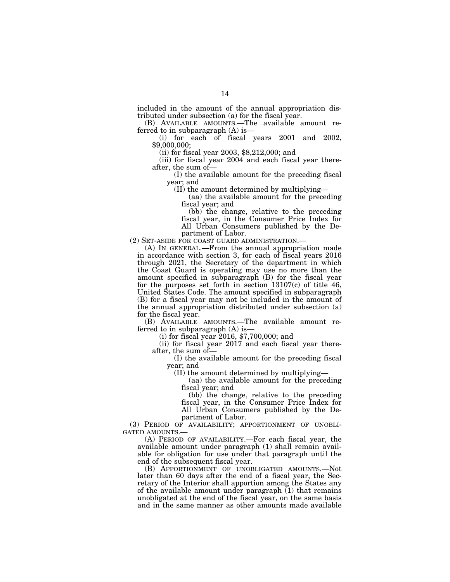included in the amount of the annual appropriation distributed under subsection (a) for the fiscal year.

(B) AVAILABLE AMOUNTS.—The available amount referred to in subparagraph (A) is—

(i) for each of fiscal years 2001 and 2002, \$9,000,000;

(ii) for fiscal year 2003, \$8,212,000; and

(iii) for fiscal year 2004 and each fiscal year thereafter, the sum of—

(I) the available amount for the preceding fiscal year; and

(II) the amount determined by multiplying—

(aa) the available amount for the preceding fiscal year; and

(bb) the change, relative to the preceding fiscal year, in the Consumer Price Index for All Urban Consumers published by the Department of Labor.

(2) SET-ASIDE FOR COAST GUARD ADMINISTRATION.— (A) IN GENERAL.—From the annual appropriation made in accordance with section 3, for each of fiscal years 2016 through 2021, the Secretary of the department in which the Coast Guard is operating may use no more than the amount specified in subparagraph (B) for the fiscal year for the purposes set forth in section  $13107(c)$  of title 46, United States Code. The amount specified in subparagraph (B) for a fiscal year may not be included in the amount of the annual appropriation distributed under subsection (a) for the fiscal year.

(B) AVAILABLE AMOUNTS.—The available amount referred to in subparagraph  $(A)$  is—<br>(i) for fiscal year 2016, \$7,700,000; and

(ii) for fiscal year 2017 and each fiscal year thereafter, the sum of—

(I) the available amount for the preceding fiscal year; and

(II) the amount determined by multiplying—

(aa) the available amount for the preceding fiscal year; and

(bb) the change, relative to the preceding fiscal year, in the Consumer Price Index for All Urban Consumers published by the Department of Labor.

(3) PERIOD OF AVAILABILITY; APPORTIONMENT OF UNOBLI-GATED AMOUNTS.—

(A) PERIOD OF AVAILABILITY.—For each fiscal year, the available amount under paragraph (1) shall remain available for obligation for use under that paragraph until the end of the subsequent fiscal year.

(B) APPORTIONMENT OF UNOBLIGATED AMOUNTS.—Not later than 60 days after the end of a fiscal year, the Secretary of the Interior shall apportion among the States any of the available amount under paragraph (1) that remains unobligated at the end of the fiscal year, on the same basis and in the same manner as other amounts made available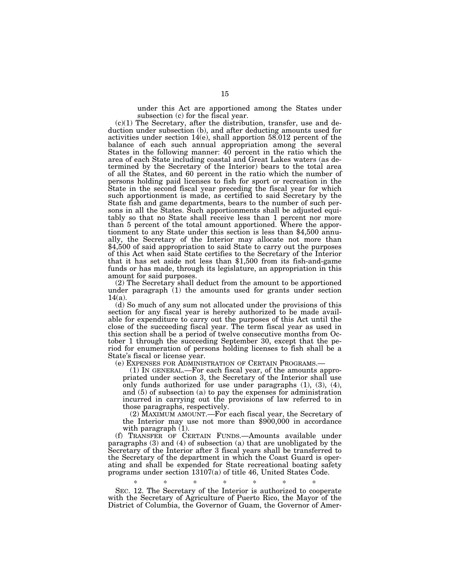under this Act are apportioned among the States under subsection (c) for the fiscal year.

 $(c)(1)$  The Secretary, after the distribution, transfer, use and deduction under subsection (b), and after deducting amounts used for activities under section 14(e), shall apportion 58.012 percent of the balance of each such annual appropriation among the several States in the following manner: 40 percent in the ratio which the area of each State including coastal and Great Lakes waters (as determined by the Secretary of the Interior) bears to the total area of all the States, and 60 percent in the ratio which the number of persons holding paid licenses to fish for sport or recreation in the State in the second fiscal year preceding the fiscal year for which such apportionment is made, as certified to said Secretary by the State fish and game departments, bears to the number of such persons in all the States. Such apportionments shall be adjusted equitably so that no State shall receive less than 1 percent nor more than 5 percent of the total amount apportioned. Where the apportionment to any State under this section is less than \$4,500 annually, the Secretary of the Interior may allocate not more than \$4,500 of said appropriation to said State to carry out the purposes of this Act when said State certifies to the Secretary of the Interior that it has set aside not less than \$1,500 from its fish-and-game funds or has made, through its legislature, an appropriation in this amount for said purposes.

(2) The Secretary shall deduct from the amount to be apportioned under paragraph (1) the amounts used for grants under section 14(a).

(d) So much of any sum not allocated under the provisions of this section for any fiscal year is hereby authorized to be made available for expenditure to carry out the purposes of this Act until the close of the succeeding fiscal year. The term fiscal year as used in this section shall be a period of twelve consecutive months from October 1 through the succeeding September 30, except that the period for enumeration of persons holding licenses to fish shall be a State's fiscal or license year.<br>(e) Expenses for Administration of Certain Programs.—

 $(1)$  In GENERAL.—For each fiscal year, of the amounts appropriated under section 3, the Secretary of the Interior shall use only funds authorized for use under paragraphs (1), (3), (4), and (5) of subsection (a) to pay the expenses for administration incurred in carrying out the provisions of law referred to in

those paragraphs, respectively.<br>
(2) MAXIMUM AMOUNT.—For each fiscal year, the Secretary of the Interior may use not more than  $$900,000$  in accordance with paragraph (1).

(f) TRANSFER OF CERTAIN FUNDS.—Amounts available under paragraphs (3) and (4) of subsection (a) that are unobligated by the Secretary of the Interior after 3 fiscal years shall be transferred to the Secretary of the department in which the Coast Guard is operating and shall be expended for State recreational boating safety programs under section 13107(a) of title 46, United States Code.

\* \* \* \* \* \* \* SEC. 12. The Secretary of the Interior is authorized to cooperate with the Secretary of Agriculture of Puerto Rico, the Mayor of the District of Columbia, the Governor of Guam, the Governor of Amer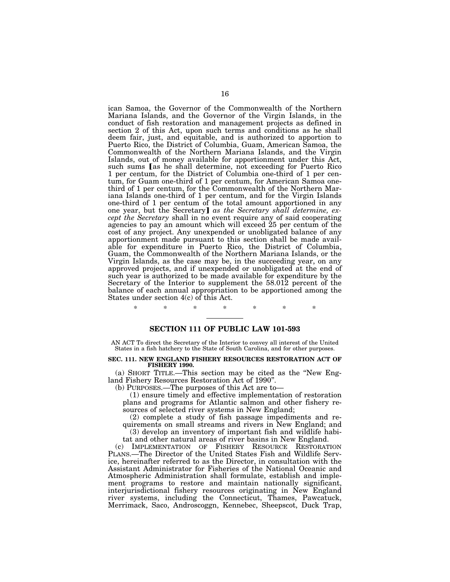ican Samoa, the Governor of the Commonwealth of the Northern Mariana Islands, and the Governor of the Virgin Islands, in the conduct of fish restoration and management projects as defined in section 2 of this Act, upon such terms and conditions as he shall deem fair, just, and equitable, and is authorized to apportion to Puerto Rico, the District of Columbia, Guam, American Samoa, the Commonwealth of the Northern Mariana Islands, and the Virgin Islands, out of money available for apportionment under this Act, such sums [as he shall determine, not exceeding for Puerto Rico 1 per centum, for the District of Columbia one-third of 1 per centum, for Guam one-third of 1 per centum, for American Samoa onethird of 1 per centum, for the Commonwealth of the Northern Mariana Islands one-third of 1 per centum, and for the Virgin Islands one-third of 1 per centum of the total amount apportioned in any one year, but the Secretary] as the Secretary shall determine, ex*cept the Secretary* shall in no event require any of said cooperating agencies to pay an amount which will exceed 25 per centum of the cost of any project. Any unexpended or unobligated balance of any apportionment made pursuant to this section shall be made available for expenditure in Puerto Rico, the District of Columbia, Guam, the Commonwealth of the Northern Mariana Islands, or the Virgin Islands, as the case may be, in the succeeding year, on any approved projects, and if unexpended or unobligated at the end of such year is authorized to be made available for expenditure by the Secretary of the Interior to supplement the 58.012 percent of the balance of each annual appropriation to be apportioned among the States under section 4(c) of this Act.

**SECTION 111 OF PUBLIC LAW 101-593** 

\* \* \* \* \* \* \*

AN ACT To direct the Secretary of the Interior to convey all interest of the United States in a fish hatchery to the State of South Carolina, and for other purposes.

#### **SEC. 111. NEW ENGLAND FISHERY RESOURCES RESTORATION ACT OF FISHERY 1990.**

(a) SHORT TITLE.—This section may be cited as the ''New England Fishery Resources Restoration Act of 1990''.

(b) PURPOSES.—The purposes of this Act are to—

(1) ensure timely and effective implementation of restoration plans and programs for Atlantic salmon and other fishery resources of selected river systems in New England;

(2) complete a study of fish passage impediments and requirements on small streams and rivers in New England; and (3) develop an inventory of important fish and wildlife habi-

tat and other natural areas of river basins in New England.

(c) IMPLEMENTATION OF FISHERY RESOURCE RESTORATION PLANS.—The Director of the United States Fish and Wildlife Service, hereinafter referred to as the Director, in consultation with the Assistant Administrator for Fisheries of the National Oceanic and Atmospheric Administration shall formulate, establish and implement programs to restore and maintain nationally significant, interjurisdictional fishery resources originating in New England river systems, including the Connecticut, Thames, Pawcatuck, Merrimack, Saco, Androscoggn, Kennebec, Sheepscot, Duck Trap,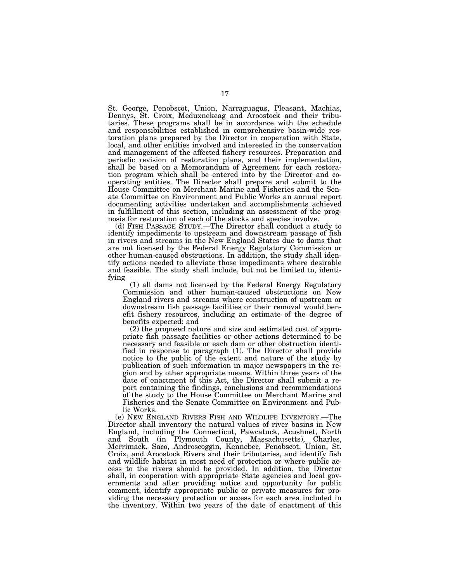St. George, Penobscot, Union, Narraguagus, Pleasant, Machias, Dennys, St. Croix, Meduxnekeag and Aroostock and their tributaries. These programs shall be in accordance with the schedule and responsibilities established in comprehensive basin-wide restoration plans prepared by the Director in cooperation with State, local, and other entities involved and interested in the conservation and management of the affected fishery resources. Preparation and periodic revision of restoration plans, and their implementation, shall be based on a Memorandum of Agreement for each restoration program which shall be entered into by the Director and cooperating entities. The Director shall prepare and submit to the House Committee on Merchant Marine and Fisheries and the Senate Committee on Environment and Public Works an annual report documenting activities undertaken and accomplishments achieved in fulfillment of this section, including an assessment of the prognosis for restoration of each of the stocks and species involve.

(d) FISH PASSAGE STUDY.—The Director shall conduct a study to identify impediments to upstream and downstream passage of fish in rivers and streams in the New England States due to dams that are not licensed by the Federal Energy Regulatory Commission or other human-caused obstructions. In addition, the study shall identify actions needed to alleviate those impediments where desirable and feasible. The study shall include, but not be limited to, identifying—

(1) all dams not licensed by the Federal Energy Regulatory Commission and other human-caused obstructions on New England rivers and streams where construction of upstream or downstream fish passage facilities or their removal would benefit fishery resources, including an estimate of the degree of benefits expected; and

(2) the proposed nature and size and estimated cost of appropriate fish passage facilities or other actions determined to be necessary and feasible or each dam or other obstruction identified in response to paragraph (1). The Director shall provide notice to the public of the extent and nature of the study by publication of such information in major newspapers in the region and by other appropriate means. Within three years of the date of enactment of this Act, the Director shall submit a report containing the findings, conclusions and recommendations of the study to the House Committee on Merchant Marine and Fisheries and the Senate Committee on Environment and Public Works.

(e) NEW ENGLAND RIVERS FISH AND WILDLIFE INVENTORY.—The Director shall inventory the natural values of river basins in New England, including the Connecticut, Pawcatuck, Acushnet, North and South (in Plymouth County, Massachusetts), Charles, Merrimack, Saco, Androscoggin, Kennebec, Penobscot, Union, St. Croix, and Aroostock Rivers and their tributaries, and identify fish and wildlife habitat in most need of protection or where public access to the rivers should be provided. In addition, the Director shall, in cooperation with appropriate State agencies and local governments and after providing notice and opportunity for public comment, identify appropriate public or private measures for providing the necessary protection or access for each area included in the inventory. Within two years of the date of enactment of this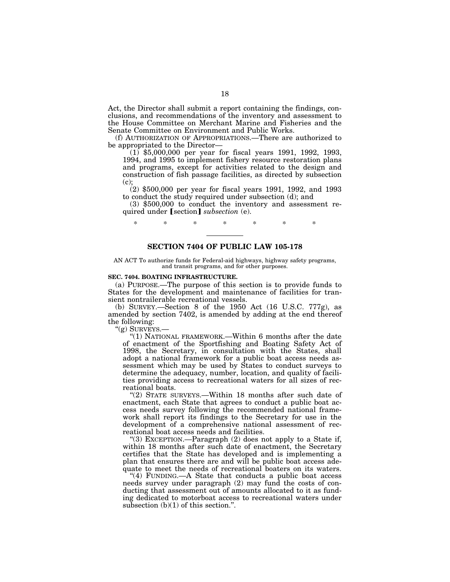Act, the Director shall submit a report containing the findings, conclusions, and recommendations of the inventory and assessment to the House Committee on Merchant Marine and Fisheries and the Senate Committee on Environment and Public Works.

(f) AUTHORIZATION OF APPROPRIATIONS.—There are authorized to be appropriated to the Director—

 $(1)$  \$5,000,000 per year for fiscal years 1991, 1992, 1993, 1994, and 1995 to implement fishery resource restoration plans and programs, except for activities related to the design and construction of fish passage facilities, as directed by subsection  $(c);$ 

 $(2)$  \$500,000 per year for fiscal years 1991, 1992, and 1993 to conduct the study required under subsection (d); and

 $(3)$  \$500,000 to conduct the inventory and assessment required under [section] *subsection* (e).

\* \* \* \* \* \* \*

## **SECTION 7404 OF PUBLIC LAW 105-178**

AN ACT To authorize funds for Federal-aid highways, highway safety programs, and transit programs, and for other purposes.

## **SEC. 7404. BOATING INFRASTRUCTURE.**

(a) PURPOSE.—The purpose of this section is to provide funds to States for the development and maintenance of facilities for transient nontrailerable recreational vessels.

(b) SURVEY.—Section 8 of the 1950 Act (16 U.S.C. 777g), as amended by section 7402, is amended by adding at the end thereof the following:<br>"(g) SURVEYS.

"(1) NATIONAL FRAMEWORK.—Within 6 months after the date of enactment of the Sportfishing and Boating Safety Act of 1998, the Secretary, in consultation with the States, shall adopt a national framework for a public boat access needs assessment which may be used by States to conduct surveys to determine the adequacy, number, location, and quality of facilities providing access to recreational waters for all sizes of recreational boats.

"(2) STATE SURVEYS.—Within 18 months after such date of enactment, each State that agrees to conduct a public boat access needs survey following the recommended national framework shall report its findings to the Secretary for use in the development of a comprehensive national assessment of recreational boat access needs and facilities.

''(3) EXCEPTION.—Paragraph (2) does not apply to a State if, within 18 months after such date of enactment, the Secretary certifies that the State has developed and is implementing a plan that ensures there are and will be public boat access adequate to meet the needs of recreational boaters on its waters.

''(4) FUNDING.—A State that conducts a public boat access needs survey under paragraph (2) may fund the costs of conducting that assessment out of amounts allocated to it as funding dedicated to motorboat access to recreational waters under subsection (b)(1) of this section.''.